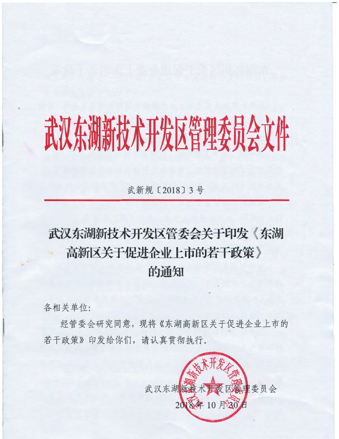## 武汉东湖新技术开发区管理委员会文件

武新规〔2018〕3号

## 武汉东湖新技术开发区管委会关于印发《东湖 高新区关于促进企业上市的若干政策》 的通知

各相关单位:

经管委会研究同意, 现将《东湖高新区关于促进企业上市的 若干政策》印发给你们,请认真贯彻执行。

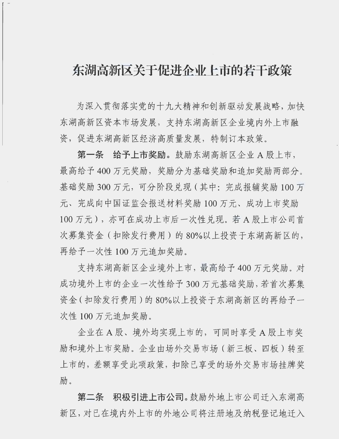## 东湖高新区关于促进企业上市的若干政策

为深入贯彻落实党的十九大精神和创新驱动发展战略, 加快 东湖高新区资本市场发展, 支持东湖高新区企业境内外上市融 资,促进东湖高新区经济高质量发展,特制订本政策。

第一条 给予上市奖励。鼓励东湖高新区企业 A 股上市, 最高给予400万元奖励,奖励分为基础奖励和追加奖励两部分。 基础奖励 300 万元, 可分阶段兑现 (其中: 完成报辅奖励 100 万 元、完成向中国证监会报送材料奖励 100 万元、成功上市奖励 100 万元), 亦可在成功上市后一次性兑现。若A股上市公司首 次募集资金(扣除发行费用)的80%以上投资于东湖高新区的, 再给予一次性 100 万元追加奖励。

支持东湖高新区企业境外上市, 最高给予 400 万元奖励。对 成功境外上市的企业一次性给予300万元基础奖励,若首次募集 资金(扣除发行费用)的80%以上投资于东湖高新区的再给予一 次性 100 万元追加奖励。

企业在 A 股、境外均实现上市的, 可同时享受 A 股上市奖 励和境外上市奖励。企业由场外交易市场(新三板、四板)转至 上市的,差额享受此项政策,扣除已享受的场外交易市场挂牌奖 励。

第二条 积极引进上市公司。鼓励外地上市公司迁入东湖高 新区, 对已在境内外上市的外地公司将注册地及纳税登记地迁入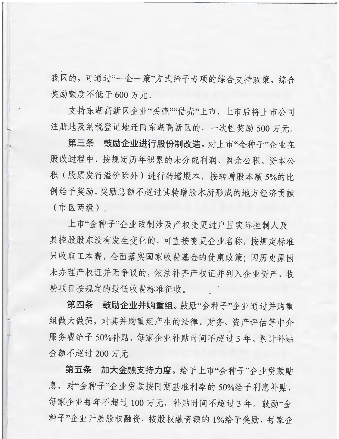我区的,可通过"一企一策"方式给予专项的综合支持政策,综合 奖励额度不低于 600 万元。

支持东湖高新区企业"买壳""借壳"上市,上市后将上市公司 注册地及纳税登记地迁回东湖高新区的,一次性奖励.500万元。

第三条 鼓励企业进行股份制改造。对上市"金种子"企业在 股改过程中, 按规定历年积累的未分配利润、盈余公积、资本公 积(股票发行溢价除外)进行转增股本,按转增股本额5%的比 例给予奖励,奖励总额不超过其转增股本所形成的地方经济贡献 (市区两级)。

上市"金种子"企业改制涉及产权变更过户且实际控制人及 其控股股东没有发生变化的,可直接变更企业名称,按规定标准 只收取工本费,全面落实国家收费基金的优惠政策;因历史原因 未办理产权证并无争议的,依法补齐产权证并列入企业资产,收 费项目按规定的最低收费标准征收。

第四条 鼓励企业并购重组。鼓励"金种子"企业通过并购重 组做大做强,对其并购重组产生的法律、财务、资产评估等中介 服务费给予50%补贴,每家企业补贴时间不超过3年、累计补贴 金额不超过200万元。

第五条 加大金融支持力度。给予上市"金种子"企业贷款贴 息, 对"金种子"企业贷款按同期基准利率的50%给予利息补贴, 每家企业每年不超过100万元,补贴时间不超过3年。鼓励"金 种子"企业开展股权融资,按股权融资额的1%给予奖励,每家企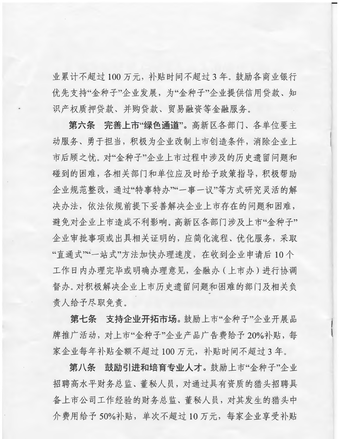业累计不超过100万元,补贴时间不超过3年。鼓励各商业银行 优先支持"金种子"企业发展,为"金种子"企业提供信用贷款、知 识产权质押贷款、并购贷款、贸易融资等金融服务。

第六条 完善上市"绿色诵道"。高新区各部门、各单位要主 动服务、勇于担当,积极为企业改制上市创造条件,消除企业上 市后顾之忧。对"金种子"企业上市过程中涉及的历史遗留问题和 碰到的困难,各相关部门和单位应及时给予政策指导,积极帮助 企业规范整改,通过"特事特办""一事一议"等方式研究灵活的解 决办法,依法依规前提下妥善解决企业上市存在的问题和困难, 避免对企业上市造成不利影响。高新区各部门涉及上市"金种子" 企业审批事项或出具相关证明的, 应简化流程、优化服务, 采取 "直通式""一站式"方法加快办理速度,在收到企业申请后10个 工作日内办理完毕或明确办理意见,金融办(上市办)进行协调 督办。对积极解决企业上市历史遗留问题和困难的部门及相关负 责人给予尽职免责。

第七条 支持企业开拓市场。鼓励上市"金种子"企业开展品 牌推广活动, 对上市"金种子"企业产品广告费给予20%补贴, 每 家企业每年补贴金额不超过100万元,补贴时间不超过3年。

第八条 鼓励引进和培育专业人才。鼓励上市"金种子"企业 招聘高水平财务总监、董秘人员, 对通过具有资质的猎头招聘具 备上市公司工作经验的财务总监、董秘人员,对其发生的猎头中 介费用给予50%补贴,单次不超过10万元,每家企业享受补贴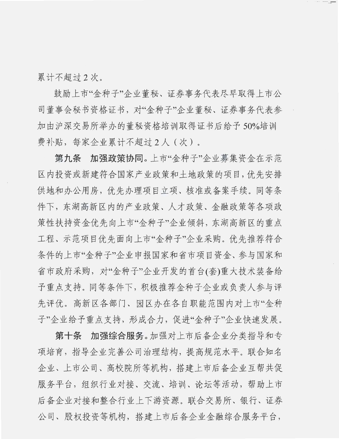累计不超过2次。

鼓励上市"金种子"企业董秘、证券事务代表尽早取得上市公 司董事会秘书资格证书, 对"金种子"企业董秘、证券事务代表参 加由沪深交易所举办的董秘资格培训取得证书后给予 50%培训 费补贴,每家企业累计不超过2人(次)。

第九条 加强政策协同。上市"金种子"企业募集资金在示范 区内投资或新建符合国家产业政策和土地政策的项目, 优先安排 供地和办公用房, 优先办理项目立项、核准或备案手续。同等条 件下, 东湖高新区内的产业政策、人才政策、金融政策等各项政 策性扶持资金优先向上市"金种子"企业倾斜, 东湖高新区的重点 工程、示范项目优先面向上市"金种子"企业采购。优先推荐符合 条件的上市"金种子"企业申报国家和省市项目资金、参与国家和 省市政府采购,对"金种子"企业开发的首台(套)重大技术装备给 予重点支持。同等条件下,积极推荐金种子企业或负责人参与评 先评优。高新区各部门、园区办在各自职能范围内对上市"金种 子"企业给予重点支持, 形成合力, 促进"金种子"企业快速发展。

第十条 加强综合服务。加强对上市后备企业分类指导和专 项培育, 指导企业完善公司治理结构, 提高规范水平。联合知名 企业、上市公司、高校院所等机构,搭建上市后备企业互帮共促 服务平台,组织行业对接、交流、培训、论坛等活动,帮助上市 后备企业对接和整合行业上下游资源。联合交易所、银行、证券 公司、股权投资等机构,搭建上市后备企业金融综合服务平台,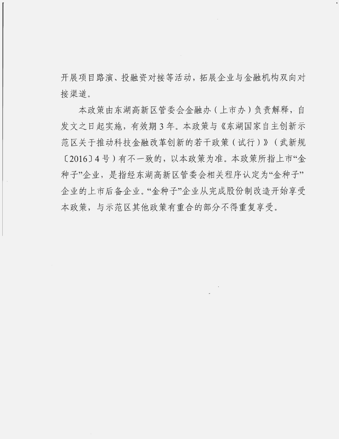开展项目路演、投融资对接等活动, 拓展企业与金融机构双向对 接渠道。

本政策由东湖高新区管委会金融办 (上市办)负责解释, 自 发文之日起实施, 有效期 3 年。本政策与《东湖国家自主创新示 范区关于推动科技金融改革创新的若干政策(试行)》(武新规 [2016] 4号) 有不一致的, 以本政策为准。本政策所指上市"金 种子"企业, 是指经东湖高新区管委会相关程序认定为"金种子" 企业的上市后备企业。"金种子"企业从完成股份制改造开始享受 本政策, 与示范区其他政策有重合的部分不得重复享受。